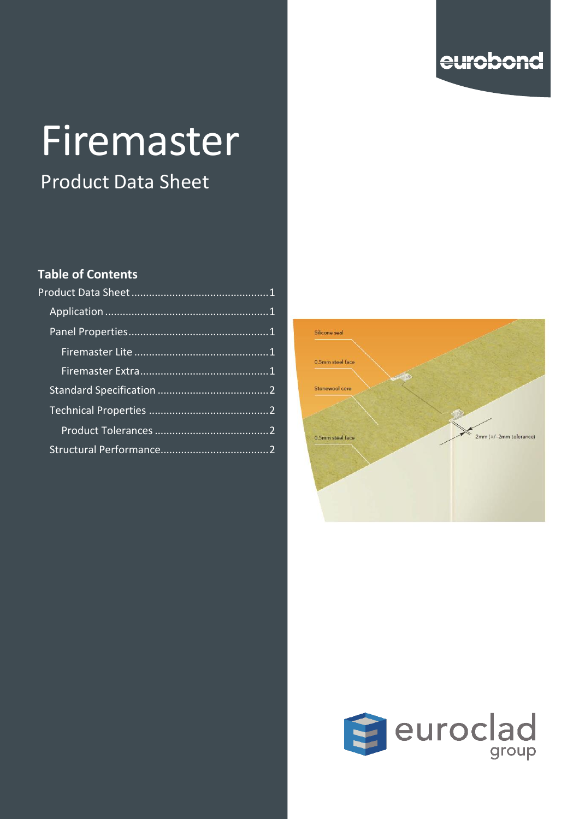

# Firemaster

Product Data Sheet

#### **Table of Contents**



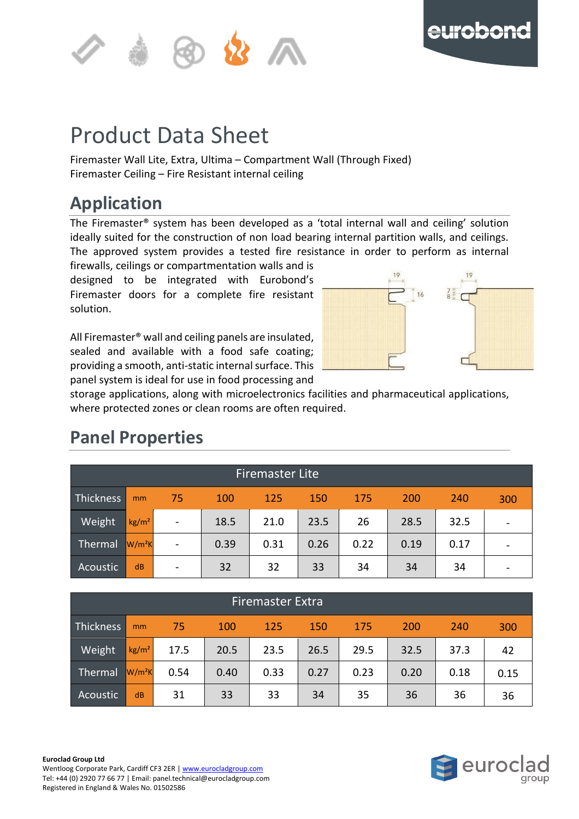



#### <span id="page-1-0"></span>**of the contract of the contract of the contract of the contract of the contract of the contract of the contract** p Product Data Sheet

Firemaster Wall Lite, Extra, Ultima – Compartment Wall (Through Fixed) Firemaster Ceiling - Fire Resistant internal ceiling

# <span id="page-1-1"></span>**Application**

The Firemaster® system has been developed as a 'total internal wall and ceiling' solution ideally suited for the construction of non load bearing internal partition walls, and ceilings. The approved system provides a tested fire resistance in order to perform as internal

firewalls, ceilings or compartmentation walls and is designed to be integrated with Eurobond's Firemaster doors for a complete fire resistant solution.

All Firemaster® wall and ceiling panels are insulated, sealed and available with a food safe coating; providing a smooth, anti-static internal surface. This panel system is ideal for use in food processing and



storage applications, along with microelectronics facilities and pharmaceutical applications, where protected zones or clean rooms are often required.

<span id="page-1-3"></span>

| <b>Firemaster Lite</b> |                   |                              |      |            |            |      |      |      |                                                                                                                                                              |
|------------------------|-------------------|------------------------------|------|------------|------------|------|------|------|--------------------------------------------------------------------------------------------------------------------------------------------------------------|
| Thickness              | mm                | 75                           | 100  | <b>125</b> | <b>150</b> | 175  | 200  | 240  | 300                                                                                                                                                          |
| Weight                 | kg/m <sup>2</sup> | $\qquad \qquad \blacksquare$ | 18.5 | 21.0       | 23.5       | 26   | 28.5 | 32.5 | $\hskip1.6pt\hskip1.6pt\hskip1.6pt\hskip1.6pt\hskip1.6pt\hskip1.6pt\hskip1.6pt\hskip1.6pt\hskip1.6pt\hskip1.6pt\hskip1.6pt\hskip1.6pt\hskip1.6pt\hskip1.6pt$ |
| Thermal                | $W/m^2K$          | $\overline{\phantom{a}}$     | 0.39 | 0.31       | 0.26       | 0.22 | 0.19 | 0.17 |                                                                                                                                                              |
| Acoustic               | dB                | $\overline{\phantom{a}}$     | 32   | 32         | 33         | 34   | 34   | 34   | $\overline{\phantom{a}}$                                                                                                                                     |

## <span id="page-1-2"></span>**Panel Properties**

<span id="page-1-4"></span>

| <b>Firemaster Extra</b> |                 |      |      |      |            |      |      |      |      |
|-------------------------|-----------------|------|------|------|------------|------|------|------|------|
| Thickness               | mm              | 75   | 100  | 125  | <b>150</b> | 175  | 200  | 240  | 300  |
| Weight                  | $\text{kg/m}^2$ | 17.5 | 20.5 | 23.5 | 26.5       | 29.5 | 32.5 | 37.3 | 42   |
| Thermal                 | $W/m^2K$        | 0.54 | 0.40 | 0.33 | 0.27       | 0.23 | 0.20 | 0.18 | 0.15 |
| Acoustic                | dB              | 31   | 33   | 33   | 34         | 35   | 36   | 36   | 36   |